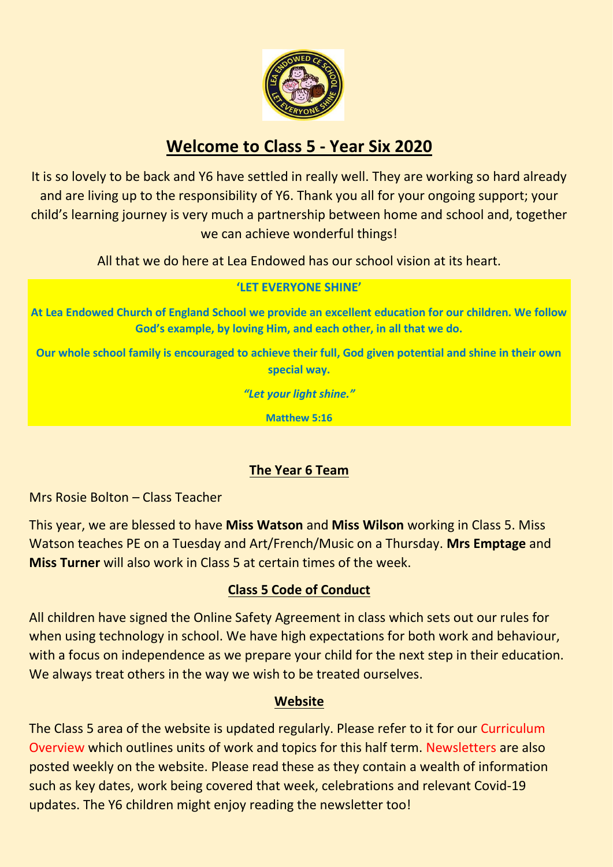

# **Welcome to Class 5 - Year Six 2020**

It is so lovely to be back and Y6 have settled in really well. They are working so hard already and are living up to the responsibility of Y6. Thank you all for your ongoing support; your child's learning journey is very much a partnership between home and school and, together we can achieve wonderful things!

All that we do here at Lea Endowed has our school vision at its heart.

#### **'LET EVERYONE SHINE'**

**At Lea Endowed Church of England School we provide an excellent education for our children. We follow God's example, by loving Him, and each other, in all that we do.**

**Our whole school family is encouraged to achieve their full, God given potential and shine in their own special way.**

*"Let your light shine."*

**Matthew 5:16**

## **The Year 6 Team**

Mrs Rosie Bolton – Class Teacher

This year, we are blessed to have **Miss Watson** and **Miss Wilson** working in Class 5. Miss Watson teaches PE on a Tuesday and Art/French/Music on a Thursday. **Mrs Emptage** and **Miss Turner** will also work in Class 5 at certain times of the week.

## **Class 5 Code of Conduct**

All children have signed the Online Safety Agreement in class which sets out our rules for when using technology in school. We have high expectations for both work and behaviour, with a focus on independence as we prepare your child for the next step in their education. We always treat others in the way we wish to be treated ourselves.

## **Website**

The Class 5 area of the website is updated regularly. Please refer to it for our Curriculum Overview which outlines units of work and topics for this half term. Newsletters are also posted weekly on the website. Please read these as they contain a wealth of information such as key dates, work being covered that week, celebrations and relevant Covid-19 updates. The Y6 children might enjoy reading the newsletter too!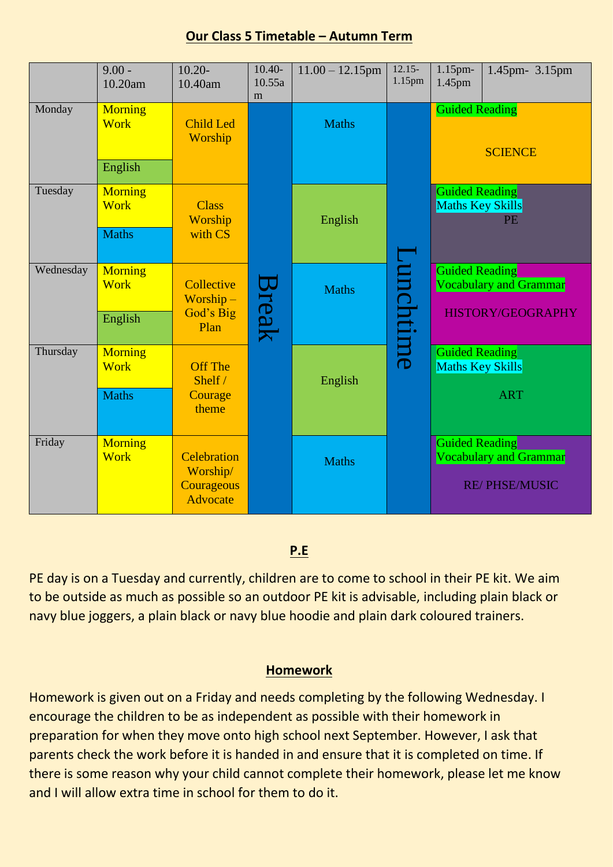#### **Our Class 5 Timetable – Autumn Term**

|           | $9.00 -$<br>10.20am           | $10.20-$<br>10.40am                                             | $10.40-$<br>10.55a<br>m | $11.00 - 12.15$ pm | $12.15-$<br>1.15pm | 1.15pm-<br>1.45pm                                             | 1.45pm- 3.15pm                                 |
|-----------|-------------------------------|-----------------------------------------------------------------|-------------------------|--------------------|--------------------|---------------------------------------------------------------|------------------------------------------------|
| Monday    | <b>Morning</b><br><b>Work</b> | <b>Child Led</b><br>Worship                                     |                         | <b>Maths</b>       |                    | <b>Guided Reading</b><br><b>SCIENCE</b>                       |                                                |
|           | English                       |                                                                 |                         |                    | Lunchtime          |                                                               |                                                |
| Tuesday   | <b>Morning</b><br><b>Work</b> | <b>Class</b><br>Worship<br>with CS                              | Break                   | English            |                    | <b>Guided Reading</b><br><b>Maths Key Skills</b><br><b>PE</b> |                                                |
|           | <b>Maths</b>                  |                                                                 |                         |                    |                    |                                                               |                                                |
| Wednesday | <b>Morning</b><br><b>Work</b> | Collective<br>$Worship -$<br>God's Big<br>Plan                  |                         | <b>Maths</b>       |                    | <b>Guided Reading</b>                                         | Vocabulary and Grammar                         |
|           | English                       |                                                                 |                         |                    |                    | <b>HISTORY/GEOGRAPHY</b>                                      |                                                |
| Thursday  | <b>Morning</b><br><b>Work</b> | <b>Off The</b><br>Shelf $/$<br>Courage<br>theme                 |                         | English            |                    | <b>Guided Reading</b><br>Maths Key Skills                     |                                                |
|           | <b>Maths</b>                  |                                                                 |                         |                    |                    |                                                               | <b>ART</b>                                     |
| Friday    | <b>Morning</b><br><b>Work</b> | <b>Celebration</b><br>Worship/<br>Courageous<br><b>Advocate</b> |                         | <b>Maths</b>       |                    | <b>Guided Reading</b>                                         | Vocabulary and Grammar<br><b>RE/PHSE/MUSIC</b> |

## **P.E**

PE day is on a Tuesday and currently, children are to come to school in their PE kit. We aim to be outside as much as possible so an outdoor PE kit is advisable, including plain black or navy blue joggers, a plain black or navy blue hoodie and plain dark coloured trainers.

#### **Homework**

Homework is given out on a Friday and needs completing by the following Wednesday. I encourage the children to be as independent as possible with their homework in preparation for when they move onto high school next September. However, I ask that parents check the work before it is handed in and ensure that it is completed on time. If there is some reason why your child cannot complete their homework, please let me know and I will allow extra time in school for them to do it.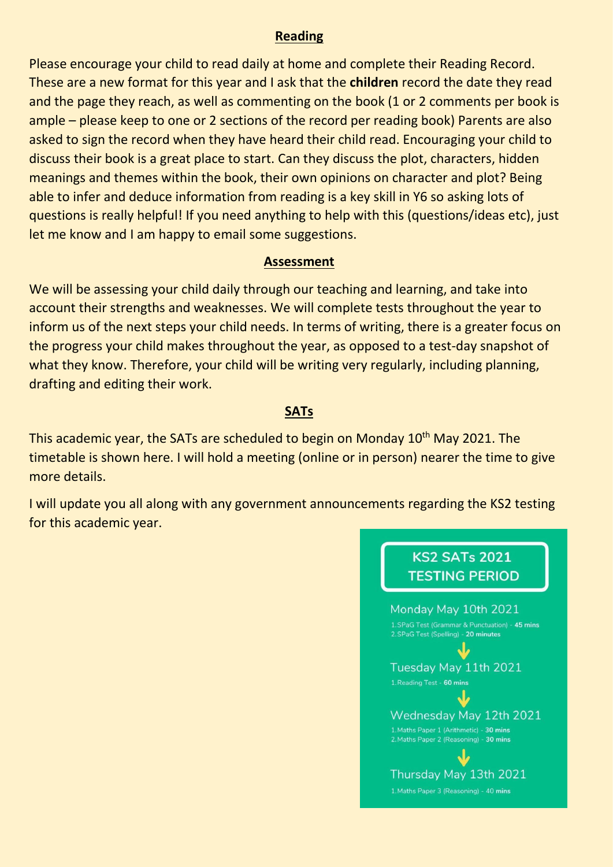#### **Reading**

Please encourage your child to read daily at home and complete their Reading Record. These are a new format for this year and I ask that the **children** record the date they read and the page they reach, as well as commenting on the book (1 or 2 comments per book is ample – please keep to one or 2 sections of the record per reading book) Parents are also asked to sign the record when they have heard their child read. Encouraging your child to discuss their book is a great place to start. Can they discuss the plot, characters, hidden meanings and themes within the book, their own opinions on character and plot? Being able to infer and deduce information from reading is a key skill in Y6 so asking lots of questions is really helpful! If you need anything to help with this (questions/ideas etc), just let me know and I am happy to email some suggestions.

#### **Assessment**

We will be assessing your child daily through our teaching and learning, and take into account their strengths and weaknesses. We will complete tests throughout the year to inform us of the next steps your child needs. In terms of writing, there is a greater focus on the progress your child makes throughout the year, as opposed to a test-day snapshot of what they know. Therefore, your child will be writing very regularly, including planning, drafting and editing their work.

### **SATs**

This academic year, the SATs are scheduled to begin on Monday 10<sup>th</sup> May 2021. The timetable is shown here. I will hold a meeting (online or in person) nearer the time to give more details.

I will update you all along with any government announcements regarding the KS2 testing for this academic year.